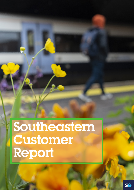# Southeastern Customer Report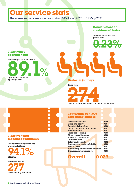### **Our service stats**

Here are our performance results for 18 October 2020 to 01 May 2021

**OOOO** 

#### **Cancellations or short-formed trains**

23%

The number across this period was

#### **Ticket office opening hours**

We averaged an open rate of



**Customer journeys**

There were

2 million passenger journeys made on our network 7.4

#### **Complaints per 1,000 passenger journeys**

| <b>Accessibility issues</b>              |  | 0.000 |
|------------------------------------------|--|-------|
| Company policy                           |  | 0.004 |
| <b>Complaints handling</b>               |  | 0.003 |
| Delay compensation schemes               |  | 0.002 |
| Environmental                            |  | 0.001 |
| Fares and retailing                      |  | 0.005 |
| Other - miscellaneous                    |  | 0.000 |
| Provision of information                 |  | 0.002 |
| Quality on train                         |  | 0.001 |
| Safety and Security                      |  | 0.002 |
| Staff conduct and availability           |  | 0.003 |
| Station quality                          |  | 0.001 |
| <b>Timetabling and connection issues</b> |  | 0.002 |
| Train service performance                |  | 0.003 |
|                                          |  |       |



#### **Ticket vending machines availability**

Our ticket vending machines were available for

**94.1%** of the time

We have a total of

277 ticket vending machines

**2** Southeastern Customer Report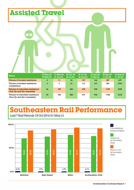### **Assisted Travel**

Period 03 May 20- 30 May 20 31 May 20- 27 Jun 20 28 Jun 20- 25 Jul 20 26 Jul 20- 22 Aug 20 23 Aug 20- 19 Sep 20 20 Sep 20- 17 Oct 20 03 May 20- 17 Oct 20 Volume of booked assistance 4 11 24 127 166 307 639 Volume of booked assistance completions 3 9 21 113 147 284 3344 Volume of unbooked assistance (Turn Up and Go) requested 46 190 283 678 948 1199 3302 Volume of unbooked assistance (Turn Up and Go) completed 44 185 283 676 942 1188 3318

#### **Southeastern Rail Performance** Last 7 Rail Periods 18 Oct 20 to 01 May 21



Southeastern Customer Report **3**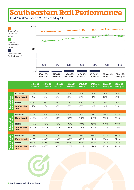## **Southeastern Rail Performance**

Last 7 Rail Periods 18 Oct 20 – 01 May 21



|                                             | Mainline              | 1.6%  | 1.6%  | 1.6%  | 1.6%  | 1.6%  | 1.6%  | 1.6%  | 1.6%  |
|---------------------------------------------|-----------------------|-------|-------|-------|-------|-------|-------|-------|-------|
| Cancellations<br>(trains booked)            | <b>High Speed</b>     | 1.6%  | 1.0%  | 2.2%  | 4.5%  | 3.1%  | 1.0%  | 0.5%  | 1.9%  |
|                                             | Metro                 | 2.7%  | 1.4%  | 2.1%  | 1.7%  | 2.2%  | 1.3%  | 1.5%  | 1.9%  |
|                                             | Southeastern<br>Total | 2.2%  | 1.6%  | 2.4%  | 2.8%  | 2.7%  | 1.3%  | 1.3%  | 2.1%  |
|                                             |                       |       |       |       |       |       |       |       |       |
|                                             | Mainline              | 63.0% | 60.7% | 69.3% | 72.2% | 75.2% | 78.9% | 74.9% | 70.2% |
| stops                                       | <b>High Speed</b>     | 68.3% | 67.6% | 73.5% | 72.7% | 71.5% | 81.7% | 79.0% | 73.3% |
|                                             | <b>Metro</b>          | 73.7% | 73.8% | 77.0% | 79.6% | 79.8% | 82.5% | 79.9% | 77.9% |
| Ontime at all<br>recorded stop<br><b>le</b> | Southeastern<br>Total | 69.8% | 69.1% | 74.1% | 76.8% | 77.8% | 81.3% | 78.2% | 75.0% |
|                                             |                       |       |       |       |       |       |       |       |       |
|                                             | Mainline              | 83.6% | 82.1% | 87.2% | 88.6% | 89.9% | 92.5% | 90.6% | 87.6% |
| । at all<br>I stops                         | <b>High Speed</b>     | 87.0% | 86.4% | 89.4% | 88.5% | 85.7% | 94.2% | 93.6% | 89.2% |
|                                             | <b>Metro</b>          | 90.9% | 91.6% | 92.6% | 94.0% | 93.6% | 95.7% | 94.3% | 93.1% |
| Time to 3 decorded:                         | Southeastern<br>Total | 88.2% | 88.1% | 90.5% | 91.9% | 91.9% | 94.6% | 93.1% | 91.1% |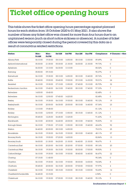## **Ticket office opening hours**

This table shows the ticket office opening hours percentage against planned hours for each station from 18 October 2020 to 01 May 2021. It also shows the number of times any ticket office was closed for more than four hours due to an unplanned reason (such as short notice sickness or absence). A number of ticket offices were temporarily closed during the period covered by this data as a result of coronavirus related restrictions.

| Station                  | Mon-<br><b>Fri AM</b> | Mon-<br><b>Fri PM</b> | Sat AM   | <b>Sat PM</b> | <b>Sun AM</b> | <b>Sun PM</b> | Compliance | $# \, \text{Closures} > 4 \text{hrs}$ |
|--------------------------|-----------------------|-----------------------|----------|---------------|---------------|---------------|------------|---------------------------------------|
| Albany Park              | 06:10:00              | 19:30:00              | 08:10:00 | 14:50:00      | 08:10:00      | 13:30:00      | 89.49%     | 15                                    |
| Ashford International    | 05:30:00              | 21:30:00              | 05:30:00 | 21:30:00      | 06:00:00      | 21:30:00      | 99.73%     | $\mathsf{O}$                          |
| Aylesham                 | 06:30:00              | 13:10:00              | 06:30:00 | 13:10:00      |               |               | 80.02%     | $\mathsf{O}$                          |
| Barming                  | 05:50:00              | 09:15:00              |          |               |               |               | 90.37%     | $\mathbf 0$                           |
| Barnehurst               | 06:10:00              | 19:30:00              | 08:10:00 | 14:50:00      | 08:10:00      | 15:40:00      | 89.76%     | 9                                     |
| <b>Battle</b>            | 05:40:00              | 19:00:00              | 05:40:00 | 19:00:00      | 09:10:00      | 16:30:00      | 90.01%     | 24                                    |
| Bearsted                 | 06:10:00              | 19:30:00              | 07:10:00 | 13:50:00      | 07:40:00      | 15:10:00      | 85.70%     | 32                                    |
| Beckenham Junction       | 06:10:00              | 19:40:00              | 06:10:00 | 19:40:00      | 08:10:00      | 17:40:00      | 97.33%     | 7                                     |
| Belvedere                | 14:00:00              | 18:40:00              |          |               |               |               | 82.48%     | $\mathsf{O}\xspace$                   |
| <b>Belvedere</b>         | 06:10:00              | 12:50:00              | 07:40:00 | 14:20:00      |               |               | 82.48%     | $\mathbf 0$                           |
| Bexley                   | 06:10:00              | 19:30:00              | 06:10:00 | 19:30:00      | 08:10:00      | 15:40:00      | 90.12%     | 19                                    |
| Bexleyheath              | 06:10:00              | 20:00:00              | 06:30:00 | 20:00:00      | 08:10:00      | 16:40:00      | 87.36%     | 23                                    |
| <b>Bickley</b>           | 13:10:00              | 19:45:00              |          |               |               |               | 81.12%     | 1                                     |
| Bickley                  | 06:10:00              | 12:50:00              | 07:10:00 | 13:50:00      | 08:15:00      | 13:45:00      | 81.12%     | 1                                     |
| Birchington              | 05:45:00              | 12:25:00              | 06:45:00 | 13:25:00      |               |               | 91.60%     | $\mathsf{O}$                          |
| Blackheath               | 06:10:00              | 20:00:00              | 06:40:00 | 20:00:00      | 08:10:00      | 19:40:00      | 95.83%     | 10                                    |
| Borough Green            | 06:10:00              | 17:55:00              | 07:10:00 | 13:50:00      | 08:10:00      | 15:40:00      | 68.63%     | 92                                    |
| <b>Brixton</b>           | 06:40:00              | 20:00:00              | 08:10:00 | 14:50:00      |               |               | 75.01%     | 25                                    |
| <b>Broadstairs</b>       | 06:15:00              | 19:30:00              | 06:15:00 | 19:30:00      | 08:10:00      | 15:40:00      | 48.11%     | 57                                    |
| <b>Bromley North</b>     | 06:15:00              | 19:00:00              | 07:20:00 | 14:00:00      |               |               | 82.86%     | 13                                    |
| <b>Bromley South</b>     | 06:00:00              | 21:30:00              | 06:20:00 | 21:30:00      | 06:40:00      | 21:30:00      | 98.67%     | 5                                     |
| Canterbury East          | 06:10:00              | 20:20:00              | 06:10:00 | 20:20:00      | 07:30:00      | 19:30:00      | 89.16%     | $20\,$                                |
| Canterbury West          | 06:15:00              | 19:30:00              | 06:15:00 | 19:30:00      | 08:30:00      | 17:00:00      | 98.50%     | 3                                     |
| Catford Bridge           | 06:10:00              | 19:30:00              | 06:10:00 | 19:30:00      | 08:40:00      | 16:40:00      | 86.47%     | 22                                    |
| Charing                  | 07:15:00              | 11:40:00              |          |               |               |               | 95.34%     | 0                                     |
| Charlton                 | 06:10:00              | 19:30:00              | 06:10:00 | 19:30:00      | 08:30:00      | 16:00:00      | 94.04%     | 8                                     |
| Chatham                  | 05:45:00              | 20:00:00              | 06:15:00 | 20:00:00      | 07:00:00      | 19:00:00      | 97.97%     | 4                                     |
| Chelsfield               | 06:10:00              | 19:30:00              | 08:15:00 | 15:00:00      | 08:15:00      | 13:00:00      | 92.65%     | 14                                    |
| Chestfield & Swalecliffe | 06:45:00              | 10:15:00              |          |               |               |               | 6.94%      | $\mathsf{O}$                          |
| Chislehurst              | 06:10:00              | 19:30:00              | 07:00:00 | 19:15:00      | 08:15:00      | 15:40:00      | 95.10%     | 9                                     |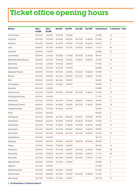## **Ticket office opening hours**

| Station                 | <b>Mon-</b><br><b>Fri AM</b> | <b>Mon-</b><br><b>Fri PM</b> | <b>Sat AM</b> | <b>Sat PM</b> | <b>Sun AM</b> | <b>Sun PM</b> | Compliance | $#$ Closures $>$ 4hrs |
|-------------------------|------------------------------|------------------------------|---------------|---------------|---------------|---------------|------------|-----------------------|
| Clock House             | 06:10:00                     | 19:30:00                     | 07:20:00      | 13:50:00      |               |               | 93.55%     | 10                    |
| Crayford                | 06:10:00                     | 19:30:00                     | 06:40:00      | 20:00:00      | 08:10:00      | 15:40:00      | 81.34%     | 26                    |
| Dartford                | 06:10:00                     | 20:40:00                     | 06:10:00      | 19:40:00      | 07:10:00      | 20:40:00      | 96.01%     | 8                     |
| Deal                    | 05:45:00                     | 19:10:00                     | 05:45:00      | 19:10:00      | 07:30:00      | 16:00:00      | 71.01%     | 87                    |
| Deptford                | 06:40:00                     | 17:25:00                     |               |               |               |               | 86.04%     | 31                    |
| Dover Priory            | 05:30:00                     | 21:30:00                     | 05:30:00      | 21:30:00      | 06:15:00      | 21:30:00      | 98.61%     | 1                     |
| Ebbsfleet International | 06:20:00                     | 20:15:00                     | 09:00:00      | 19:30:00      | 09:45:00      | 18:45:00      | 92.15%     | 23                    |
| Eden Park               | 06:10:00                     | 12:50:00                     | 07:20:00      | 14:00:00      |               |               | 97.03%     | $\mathsf O$           |
| Elmers End              | 06:10:00                     | 19:30:00                     | 06:10:00      | 19:30:00      |               |               | 86.48%     | 14                    |
| Elmstead Woods          | 06:00:00                     | 19:30:00                     | 08:15:00      | 14:50:00      | 08:15:00      | 15:40:00      | 94.99%     | 3                     |
| Eltham                  | 06:10:00                     | 20:00:00                     | 06:10:00      | 20:00:00      | 08:10:00      | 15:40:00      | 92.72%     | 7                     |
| Erith                   | 06:05:00                     | 19:25:00                     | 06:10:00      | 19:25:00      |               |               | 84.52%     | 40                    |
| Etchingham              | 06:10:00                     | 12:55:00                     | 07:20:00      | 14:00:00      |               |               | 79.40%     | 2                     |
| Eynsford                | 06:10:00                     | 12:50:00                     |               |               |               |               | 99.49%     | $\mathsf O$           |
| Falconwood              | 06:10:00                     | 19:30:00                     | 08:10:00      | 14:50:00      | 08:10:00      | 15:40:00      | 91.43%     | 19                    |
| Farningham Road         | 06:10:00                     | 10:30:00                     |               |               |               |               | 71.37%     | $\mathsf O$           |
| Faversham               | 06:15:00                     | 19:30:00                     | 06:15:00      | 19:30:00      | 08:00:00      | 19:00:00      | 95.63%     | 11                    |
| Folkestone Central      | 06:00:00                     | 19:00:00                     | 06:00:00      | 19:00:00      | 08:10:00      | 17:40:00      | 92.59%     | 18                    |
| <b>Folkestone West</b>  | 06:25:00                     | 13:05:00                     | 07:35:00      | 14:15:00      |               |               | 92.95%     | 0                     |
| Frant                   | 06:25:00                     | 09:45:00                     |               |               |               |               | 90.43%     | 0                     |
| Gillingham              | 06:10:00                     | 20:00:00                     | 06:10:00      | 20:00:00      | 07:00:00      | 19:00:00      | 98.15%     | 4                     |
| Gravesend               | 05:45:00                     | 20:00:00                     | 05:45:00      | 20:00:00      | 06:45:00      | 20:00:00      | 97.23%     | 0                     |
| Greenhithe              | 06:10:00                     | 19:30:00                     | 07:40:00      | 19:40:00      | 09:10:00      | 16:40:00      | 94.02%     | 17                    |
| Greenwich               | 06:10:00                     | 20:00:00                     | 06:10:00      | 20:00:00      | 08:40:00      | 18:40:00      | 98.09%     | 3                     |
| Grove Park              | 05:15:00                     | 20:15:00                     | 07:00:00      | 20:15:00      | 08:10:00      | 18:40:00      | 93.18%     | 10                    |
| Harrietsham             | 06:10:00                     | 10:25:00                     |               |               |               |               | 96.11%     | 0                     |
| Hastings                | 05:50:00                     | 20:30:00                     | 05:50:00      | 20:30:00      | 05:50:00      | 20:30:00      | 98.92%     | 0                     |
| Hayes                   | 06:10:00                     | 19:30:00                     | 07:20:00      | 14:00:00      |               |               | 88.23%     | 15                    |
| Headcorn                | 06:00:00                     | 19:20:00                     | 07:10:00      | 13:50:00      | 08:10:00      | 16:30:00      | 74.85%     | 59                    |
| Herne Bay               | 06:10:00                     | 19:00:00                     | 06:10:00      | 19:00:00      | 09:10:00      | 16:00:00      | 71.71%     | 69                    |
| Herne Hill              | 06:10:00                     | 19:40:00                     | 06:10:00      | 19:40:00      | 08:10:00      | 17:40:00      | 97.19%     | 9                     |
| High Brooms             | 06:20:00                     | 19:00:00                     | 07:10:00      | 13:50:00      |               |               | 95.92%     | 5                     |
| Higham                  | 06:10:00                     | 12:50:00                     |               |               |               |               | 81.26%     | $\mathbf{1}$          |
| Hildenborough           | 06:10:00                     | 12:50:00                     | 07:10:00      | 13:50:00      |               |               | 91.29%     | 1                     |
| <b>Hither Green</b>     | 06:10:00                     | 20:00:00                     | 06:10:00      | 19:30:00      | 08:10:00      | 19:40:00      | 97.33%     | $\overline{7}$        |
| Kent House              | 06:10:00                     | 19:30:00                     | 07:10:00      | 13:50:00      |               |               | 82.17%     | 16                    |

**6** Southeastern Customer Report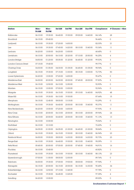| <b>Station</b>       | Mon-<br><b>Fri AM</b> | <b>Mon-</b><br><b>Fri PM</b> | Sat AM   | <b>Sat PM</b> | <b>Sun AM</b> | <b>Sun PM</b> | Compliance | $#$ Closures $>$ 4hrs |
|----------------------|-----------------------|------------------------------|----------|---------------|---------------|---------------|------------|-----------------------|
| Kidbrooke            | 06:10:00              | 19:30:00                     | 06:40:00 | 19:30:00      | 09:00:00      | 14:40:00      | 84.14%     | 28                    |
| Knockholt            | 06:15:00              | 09:40:00                     |          |               |               |               | 96.46%     | 0                     |
| Ladywell             | 06:10:00              | 19:30:00                     | 07:20:00 | 14:00:00      |               |               | 82.03%     | 21                    |
| Lee                  | 06:10:00              | 19:30:00                     | 07:40:00 | 14:20:00      | 08:10:00      | 15:40:00      | 93.36%     | 11                    |
| Lenham               | 06:20:00              | 13:00:00                     | 06:20:00 | 13:00:00      |               |               | 68.45%     | $\mathsf O$           |
| Lewisham             | 06:10:00              | 20:50:00                     | 06:10:00 | 20:20:00      | 07:10:00      | 20:50:00      | 96.25%     | 4                     |
| London Bridge        | 04:50:00              | 01:20:00                     | 05:05:00 | 01:20:00      | 06:45:00      | 01:20:00      | 99.53%     | 3                     |
| London Cannon Street | 07:15:00              | 19:40:00                     |          |               |               |               | 99.77%     | 0                     |
| Charing Cross        | 04:30:00              | 01:05:00                     | 04:30:00 | 01:05:00      | 06:45:00      | 01:05:00      | 98.94%     | $\mathsf O$           |
| Longfield            | 06:15:00              | 19:30:00                     | 07:15:00 | 13:30:00      | 08:15:00      | 13:00:00      | 72.73%     | 50                    |
| Lower Sydenham       | 06:20:00              | 13:00:00                     | 07:20:00 | 14:00:00      |               |               | 95.47%     | $\mathsf O$           |
| Maidstone East       | 06:00:00              | 20:00:00                     | 06:00:00 | 20:00:00      | 07:45:00      | 20:00:00      | 97.83%     | 5                     |
| Maidstone West       | 06:15:00              | 12:50:00                     | 06:10:00 | 12:50:00      |               |               | 92.90%     | $\mathsf O$           |
| Marden               | 06:15:00              | 13:00:00                     | 07:00:00 | 13:00:00      |               |               | 92.96%     | $\mathsf O$           |
| Margate              | 06:15:00              | 19:30:00                     | 06:15:00 | 19:30:00      | 09:10:00      | 16:40:00      | 84.92%     | 48                    |
| Maze Hill            | 06:10:00              | 19:30:00                     | 06:10:00 | 19:30:00      |               |               | 87.64%     | 15                    |
| Meopham              | 06:15:00              | 12:45:00                     | 08:00:00 | 13:15:00      |               |               | 93.29%     | $\circ$               |
| Mottingham           | 06:10:00              | 19:30:00                     | 06:40:00 | 20:00:00      | 08:10:00      | 15:40:00      | 95.37%     | 11                    |
| New Beckenham        | 06:20:00              | 13:00:00                     | 07:20:00 | 14:00:00      |               |               | 97.93%     | $\circ$               |
| New Cross            | 06:10:00              | 20:00:00                     | 06:10:00 | 20:00:00      | 08:10:00      | 20:00:00      | 89.94%     | 24                    |
| New Eltham           | 06:10:00              | 20:00:00                     | 06:40:00 | 20:00:00      | 08:10:00      | 15:40:00      | 91.13%     | 13                    |
| Newington            | 06:10:00              | 10:00:00                     |          |               |               |               | 75.56%     | 0                     |
| Northfieet           | 06:10:00              | 10:10:00                     |          |               |               |               | 72.20%     | 0                     |
| Orpington            | 06:05:00              | 21:00:00                     | 06:05:00 | 21:00:00      | 06:45:00      | 21:00:00      | 98.84%     | 3                     |
| Otford               | 06:15:00              | 19:30:00                     | 06:15:00 | 19:30:00      | 08:10:00      | 15:40:00      | 86.94%     | 23                    |
| Paddock Wood         | 06:00:00              | 19:00:00                     | 08:00:00 | 14:30:00      | 08:00:00      | 14:30:00      | 90.73%     | 23                    |
| Penge East           | 06:10:00              | 19:30:00                     | 06:40:00 | 19:30:00      | 08:10:00      | 15:40:00      | 95.09%     | 11                    |
| Petts Wood           | 05:45:00              | 20:00:00                     | 07:00:00 | 20:00:00      | 07:45:00      | 19:45:00      | 94.91%     | 16                    |
| Pluckley             | 06:10:00              | 10:40:00                     |          |               |               |               | 60.82%     | 1                     |
| Plumstead            | 06:10:00              | 19:30:00                     | 06:10:00 | 19:30:00      | 08:10:00      | 15:40:00      | 88.13%     | 23                    |
| Queenborough         | 07:00:00              | 11:00:00                     | 08:00:00 | 12:00:00      |               |               | 89.76%     | $\circ$               |
| Rainham              | 06:00:00              | 19:30:00                     | 07:00:00 | 19:00:00      | 08:00:00      | 19:00:00      | 97.94%     | $7\phantom{.}$        |
| Ramsgate             | 06:15:00              | 20:00:00                     | 06:15:00 | 20:00:00      | 06:15:00      | 16:30:00      | 90.45%     | 34                    |
| Robertsbridge        | 06:10:00              | 12:50:00                     | 07:10:00 | 13:45:00      |               |               | 97.78%     | $\mathsf O$           |
| Rochester            | 06:10:00              | 19:30:00                     | 06:45:00 | 13:25:00      |               |               | 97.35%     | 4                     |
| Sandling             | 06:20:00              | 13:00:00                     |          |               |               |               | 89.00%     | 0                     |